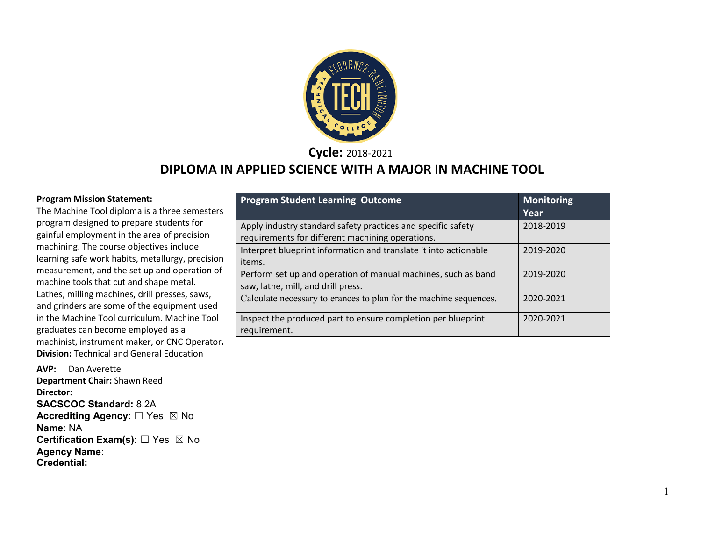

#### **Cycle:** 2018-2021

#### **DIPLOMA IN APPLIED SCIENCE WITH A MAJOR IN MACHINE TOOL**

#### **Program Mission Statement:**

The Machine Tool diploma is a three semesters program designed to prepare students for gainful employment in the area of precision machining. The course objectives include learning safe work habits, metallurgy, precision measurement, and the set up and operation of machine tools that cut and shape metal. Lathes, milling machines, drill presses, saws, and grinders are some of the equipment used in the Machine Tool curriculum. Machine Tool graduates can become employed as a machinist, instrument maker, or CNC Operator**. Division:** Technical and General Education

**AVP:** Dan Averette **Department Chair:** Shawn Reed **Director: SACSCOC Standard:** 8.2A **Accrediting Agency:** ☐ Yes ☒ No **Name**: NA **Certification Exam(s):** ☐ Yes ☒ No **Agency Name: Credential:** 

| <b>Program Student Learning Outcome</b>                                                                          | <b>Monitoring</b><br>Year |
|------------------------------------------------------------------------------------------------------------------|---------------------------|
| Apply industry standard safety practices and specific safety<br>requirements for different machining operations. | 2018-2019                 |
| Interpret blueprint information and translate it into actionable<br>items.                                       | 2019-2020                 |
| Perform set up and operation of manual machines, such as band<br>saw, lathe, mill, and drill press.              | 2019-2020                 |
| Calculate necessary tolerances to plan for the machine sequences.                                                | 2020-2021                 |
| Inspect the produced part to ensure completion per blueprint<br>requirement.                                     | 2020-2021                 |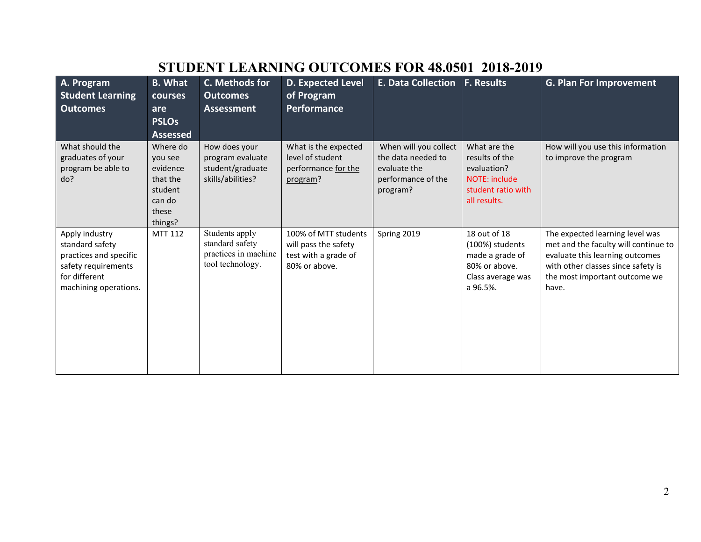## **STUDENT LEARNING OUTCOMES FOR 48.0501 2018-2019**

| A. Program<br><b>Student Learning</b><br><b>Outcomes</b>                                                                     | <b>B.</b> What<br>courses<br>are<br><b>PSLOs</b><br><b>Assessed</b>                  | C. Methods for<br><b>Outcomes</b><br><b>Assessment</b>                        | <b>D. Expected Level</b><br>of Program<br><b>Performance</b>                          | <b>E. Data Collection</b>                                                                     | <b>F. Results</b>                                                                                           | <b>G. Plan For Improvement</b>                                                                                                                                                             |
|------------------------------------------------------------------------------------------------------------------------------|--------------------------------------------------------------------------------------|-------------------------------------------------------------------------------|---------------------------------------------------------------------------------------|-----------------------------------------------------------------------------------------------|-------------------------------------------------------------------------------------------------------------|--------------------------------------------------------------------------------------------------------------------------------------------------------------------------------------------|
| What should the<br>graduates of your<br>program be able to<br>do?                                                            | Where do<br>you see<br>evidence<br>that the<br>student<br>can do<br>these<br>things? | How does your<br>program evaluate<br>student/graduate<br>skills/abilities?    | What is the expected<br>level of student<br>performance for the<br>program?           | When will you collect<br>the data needed to<br>evaluate the<br>performance of the<br>program? | What are the<br>results of the<br>evaluation?<br><b>NOTE: include</b><br>student ratio with<br>all results. | How will you use this information<br>to improve the program                                                                                                                                |
| Apply industry<br>standard safety<br>practices and specific<br>safety requirements<br>for different<br>machining operations. | <b>MTT 112</b>                                                                       | Students apply<br>standard safety<br>practices in machine<br>tool technology. | 100% of MTT students<br>will pass the safety<br>test with a grade of<br>80% or above. | Spring 2019                                                                                   | 18 out of 18<br>(100%) students<br>made a grade of<br>80% or above.<br>Class average was<br>a 96.5%.        | The expected learning level was<br>met and the faculty will continue to<br>evaluate this learning outcomes<br>with other classes since safety is<br>the most important outcome we<br>have. |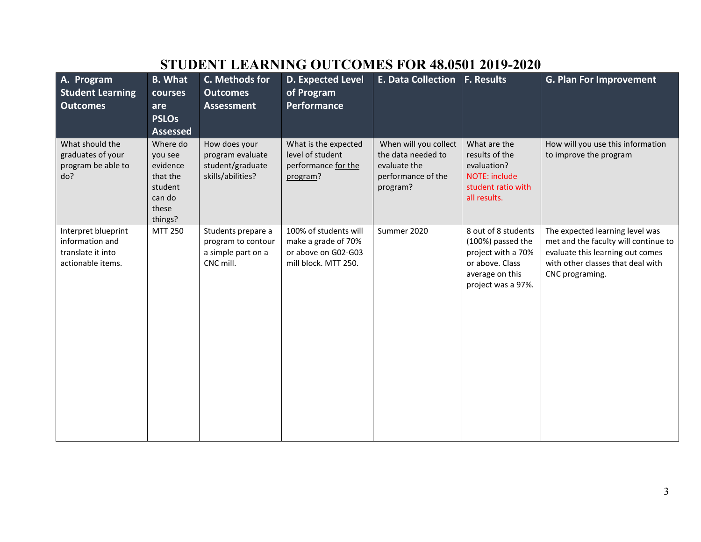| A. Program<br><b>Student Learning</b><br><b>Outcomes</b>                         | <b>B.</b> What<br>courses<br>are<br><b>PSLOs</b><br><b>Assessed</b>                  | C. Methods for<br><b>Outcomes</b><br><b>Assessment</b>                      | <b>D. Expected Level</b><br>of Program<br>Performance                                       | E. Data Collection F. Results                                                                 |                                                                                                                            | <b>G. Plan For Improvement</b>                                                                                                                                      |
|----------------------------------------------------------------------------------|--------------------------------------------------------------------------------------|-----------------------------------------------------------------------------|---------------------------------------------------------------------------------------------|-----------------------------------------------------------------------------------------------|----------------------------------------------------------------------------------------------------------------------------|---------------------------------------------------------------------------------------------------------------------------------------------------------------------|
| What should the<br>graduates of your<br>program be able to<br>do?                | Where do<br>you see<br>evidence<br>that the<br>student<br>can do<br>these<br>things? | How does your<br>program evaluate<br>student/graduate<br>skills/abilities?  | What is the expected<br>level of student<br>performance for the<br>program?                 | When will you collect<br>the data needed to<br>evaluate the<br>performance of the<br>program? | What are the<br>results of the<br>evaluation?<br><b>NOTE: include</b><br>student ratio with<br>all results.                | How will you use this information<br>to improve the program                                                                                                         |
| Interpret blueprint<br>information and<br>translate it into<br>actionable items. | MTT 250                                                                              | Students prepare a<br>program to contour<br>a simple part on a<br>CNC mill. | 100% of students will<br>make a grade of 70%<br>or above on G02-G03<br>mill block. MTT 250. | Summer 2020                                                                                   | 8 out of 8 students<br>(100%) passed the<br>project with a 70%<br>or above. Class<br>average on this<br>project was a 97%. | The expected learning level was<br>met and the faculty will continue to<br>evaluate this learning out comes<br>with other classes that deal with<br>CNC programing. |

## **STUDENT LEARNING OUTCOMES FOR 48.0501 2019-2020**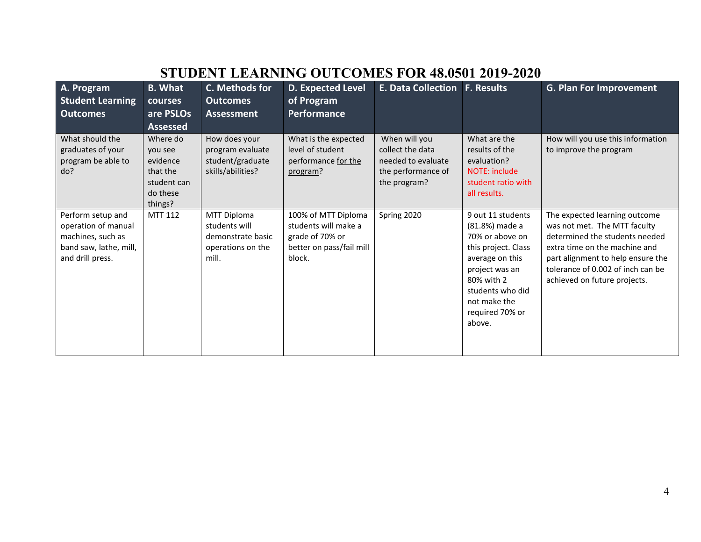# **STUDENT LEARNING OUTCOMES FOR 48.0501 2019-2020**

| A. Program<br><b>Student Learning</b>                                                                       | <b>B.</b> What<br>courses                                                         | C. Methods for<br><b>Outcomes</b>                                               | <b>D. Expected Level</b><br>of Program                                                               | <b>E. Data Collection</b>                                                                     | <b>F. Results</b>                                                                                                                                                                                 | <b>G. Plan For Improvement</b>                                                                                                                                                                                                             |
|-------------------------------------------------------------------------------------------------------------|-----------------------------------------------------------------------------------|---------------------------------------------------------------------------------|------------------------------------------------------------------------------------------------------|-----------------------------------------------------------------------------------------------|---------------------------------------------------------------------------------------------------------------------------------------------------------------------------------------------------|--------------------------------------------------------------------------------------------------------------------------------------------------------------------------------------------------------------------------------------------|
| <b>Outcomes</b>                                                                                             | are PSLOs<br><b>Assessed</b>                                                      | <b>Assessment</b>                                                               | <b>Performance</b>                                                                                   |                                                                                               |                                                                                                                                                                                                   |                                                                                                                                                                                                                                            |
| What should the<br>graduates of your<br>program be able to<br>do?                                           | Where do<br>you see<br>evidence<br>that the<br>student can<br>do these<br>things? | How does your<br>program evaluate<br>student/graduate<br>skills/abilities?      | What is the expected<br>level of student<br>performance for the<br>program?                          | When will you<br>collect the data<br>needed to evaluate<br>the performance of<br>the program? | What are the<br>results of the<br>evaluation?<br><b>NOTE: include</b><br>student ratio with<br>all results.                                                                                       | How will you use this information<br>to improve the program                                                                                                                                                                                |
| Perform setup and<br>operation of manual<br>machines, such as<br>band saw, lathe, mill,<br>and drill press. | MTT 112                                                                           | MTT Diploma<br>students will<br>demonstrate basic<br>operations on the<br>mill. | 100% of MTT Diploma<br>students will make a<br>grade of 70% or<br>better on pass/fail mill<br>block. | Spring 2020                                                                                   | 9 out 11 students<br>(81.8%) made a<br>70% or above on<br>this project. Class<br>average on this<br>project was an<br>80% with 2<br>students who did<br>not make the<br>required 70% or<br>above. | The expected learning outcome<br>was not met. The MTT faculty<br>determined the students needed<br>extra time on the machine and<br>part alignment to help ensure the<br>tolerance of 0.002 of inch can be<br>achieved on future projects. |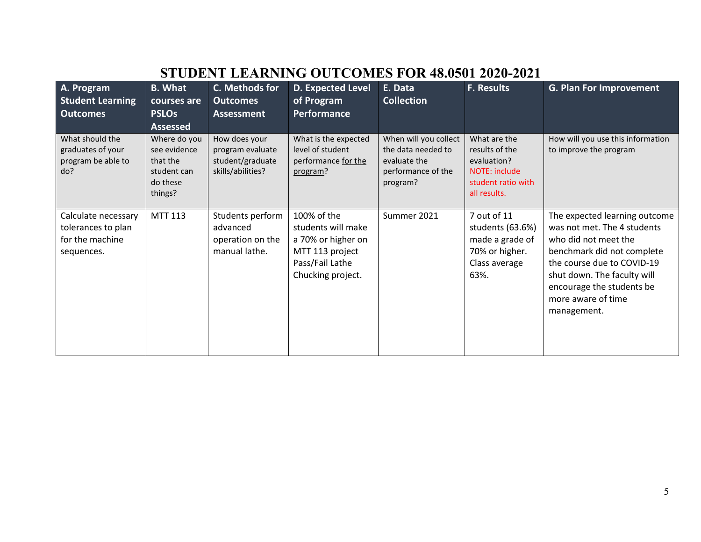# **STUDENT LEARNING OUTCOMES FOR 48.0501 2020-2021**

| A. Program<br><b>Student Learning</b><br><b>Outcomes</b>                   | <b>B.</b> What<br>courses are<br><b>PSLOs</b><br><b>Assessed</b>               | C. Methods for<br><b>Outcomes</b><br><b>Assessment</b>                     | <b>D. Expected Level</b><br>of Program<br>Performance                                                              | E. Data<br><b>Collection</b>                                                                  | <b>F. Results</b>                                                                                    | <b>G. Plan For Improvement</b>                                                                                                                                                                                                                    |
|----------------------------------------------------------------------------|--------------------------------------------------------------------------------|----------------------------------------------------------------------------|--------------------------------------------------------------------------------------------------------------------|-----------------------------------------------------------------------------------------------|------------------------------------------------------------------------------------------------------|---------------------------------------------------------------------------------------------------------------------------------------------------------------------------------------------------------------------------------------------------|
| What should the<br>graduates of your<br>program be able to<br>do?          | Where do you<br>see evidence<br>that the<br>student can<br>do these<br>things? | How does your<br>program evaluate<br>student/graduate<br>skills/abilities? | What is the expected<br>level of student<br>performance for the<br>program?                                        | When will you collect<br>the data needed to<br>evaluate the<br>performance of the<br>program? | What are the<br>results of the<br>evaluation?<br>NOTE: include<br>student ratio with<br>all results. | How will you use this information<br>to improve the program                                                                                                                                                                                       |
| Calculate necessary<br>tolerances to plan<br>for the machine<br>sequences. | <b>MTT 113</b>                                                                 | Students perform<br>advanced<br>operation on the<br>manual lathe.          | 100% of the<br>students will make<br>a 70% or higher on<br>MTT 113 project<br>Pass/Fail Lathe<br>Chucking project. | Summer 2021                                                                                   | 7 out of 11<br>students (63.6%)<br>made a grade of<br>70% or higher.<br>Class average<br>63%.        | The expected learning outcome<br>was not met. The 4 students<br>who did not meet the<br>benchmark did not complete<br>the course due to COVID-19<br>shut down. The faculty will<br>encourage the students be<br>more aware of time<br>management. |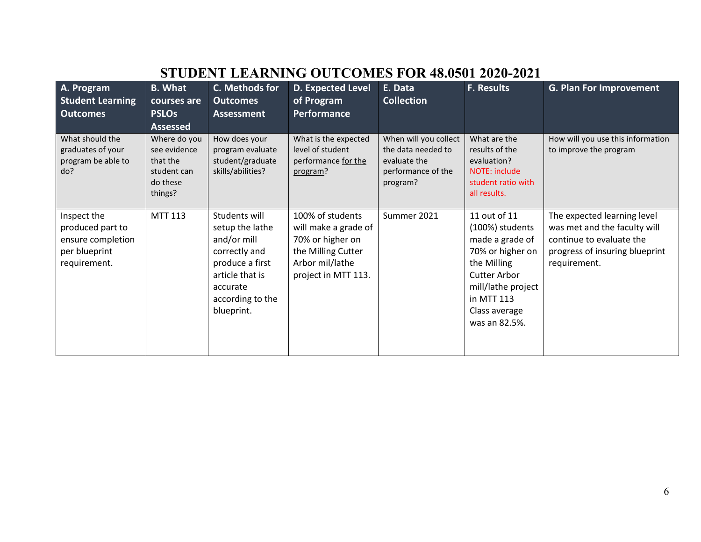# **STUDENT LEARNING OUTCOMES FOR 48.0501 2020-2021**

| A. Program<br><b>Student Learning</b><br><b>Outcomes</b>                              | <b>B.</b> What<br>courses are<br><b>PSLOs</b><br><b>Assessed</b>               | C. Methods for<br><b>Outcomes</b><br><b>Assessment</b>                                                                                               | <b>D. Expected Level</b><br>of Program<br>Performance                                                                        | E. Data<br><b>Collection</b>                                                                  | <b>F. Results</b>                                                                                                                                                                  | <b>G. Plan For Improvement</b>                                                                                                            |
|---------------------------------------------------------------------------------------|--------------------------------------------------------------------------------|------------------------------------------------------------------------------------------------------------------------------------------------------|------------------------------------------------------------------------------------------------------------------------------|-----------------------------------------------------------------------------------------------|------------------------------------------------------------------------------------------------------------------------------------------------------------------------------------|-------------------------------------------------------------------------------------------------------------------------------------------|
| What should the<br>graduates of your<br>program be able to<br>do?                     | Where do you<br>see evidence<br>that the<br>student can<br>do these<br>things? | How does your<br>program evaluate<br>student/graduate<br>skills/abilities?                                                                           | What is the expected<br>level of student<br>performance for the<br>program?                                                  | When will you collect<br>the data needed to<br>evaluate the<br>performance of the<br>program? | What are the<br>results of the<br>evaluation?<br>NOTE: include<br>student ratio with<br>all results.                                                                               | How will you use this information<br>to improve the program                                                                               |
| Inspect the<br>produced part to<br>ensure completion<br>per blueprint<br>requirement. | <b>MTT 113</b>                                                                 | Students will<br>setup the lathe<br>and/or mill<br>correctly and<br>produce a first<br>article that is<br>accurate<br>according to the<br>blueprint. | 100% of students<br>will make a grade of<br>70% or higher on<br>the Milling Cutter<br>Arbor mil/lathe<br>project in MTT 113. | Summer 2021                                                                                   | 11 out of 11<br>(100%) students<br>made a grade of<br>70% or higher on<br>the Milling<br><b>Cutter Arbor</b><br>mill/lathe project<br>in MTT 113<br>Class average<br>was an 82.5%. | The expected learning level<br>was met and the faculty will<br>continue to evaluate the<br>progress of insuring blueprint<br>requirement. |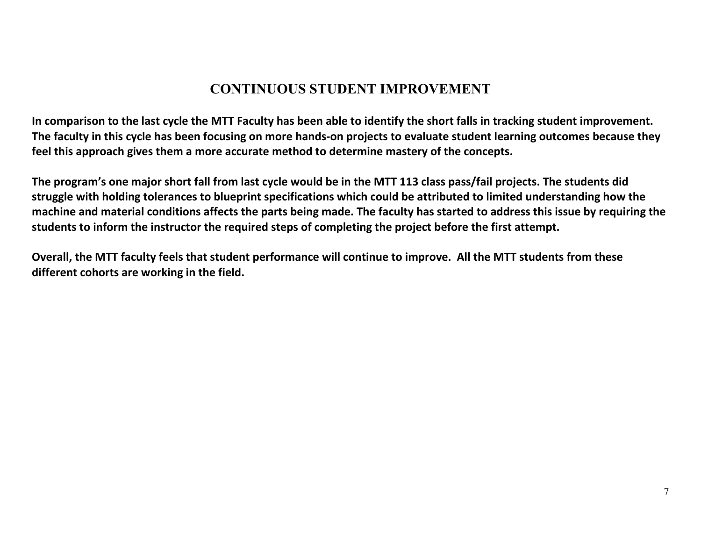## **CONTINUOUS STUDENT IMPROVEMENT**

**In comparison to the last cycle the MTT Faculty has been able to identify the short falls in tracking student improvement. The faculty in this cycle has been focusing on more hands-on projects to evaluate student learning outcomes because they feel this approach gives them a more accurate method to determine mastery of the concepts.** 

**The program's one major short fall from last cycle would be in the MTT 113 class pass/fail projects. The students did struggle with holding tolerances to blueprint specifications which could be attributed to limited understanding how the machine and material conditions affects the parts being made. The faculty has started to address this issue by requiring the students to inform the instructor the required steps of completing the project before the first attempt.**

**Overall, the MTT faculty feels that student performance will continue to improve. All the MTT students from these different cohorts are working in the field.**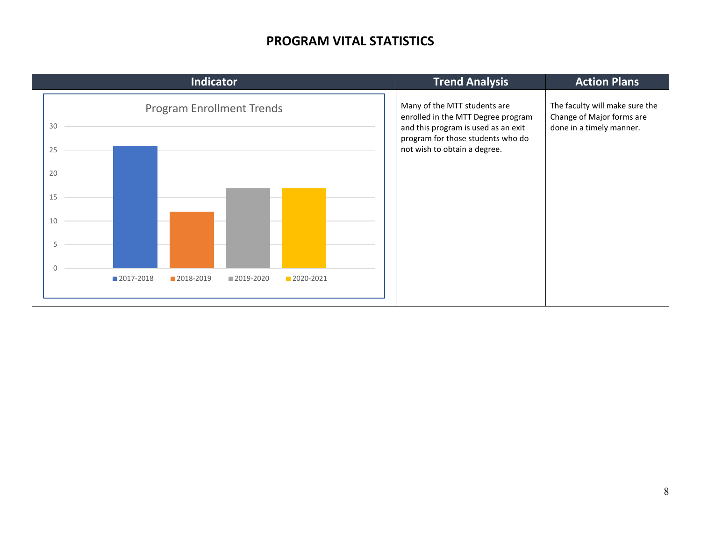### **PROGRAM VITAL STATISTICS**

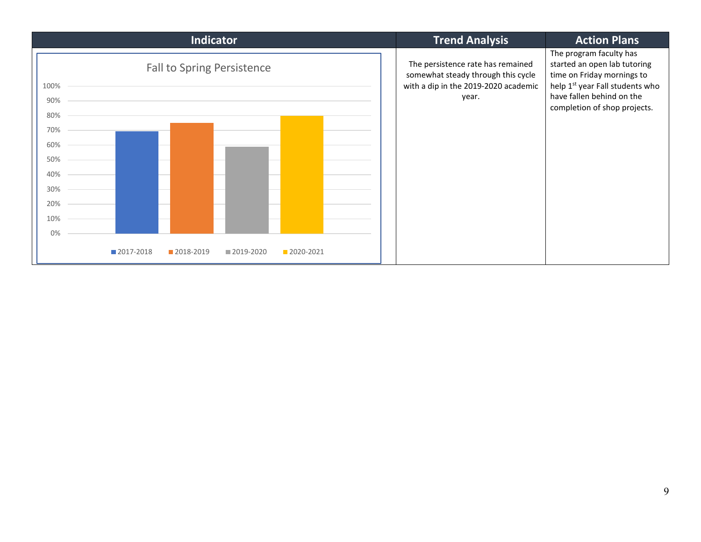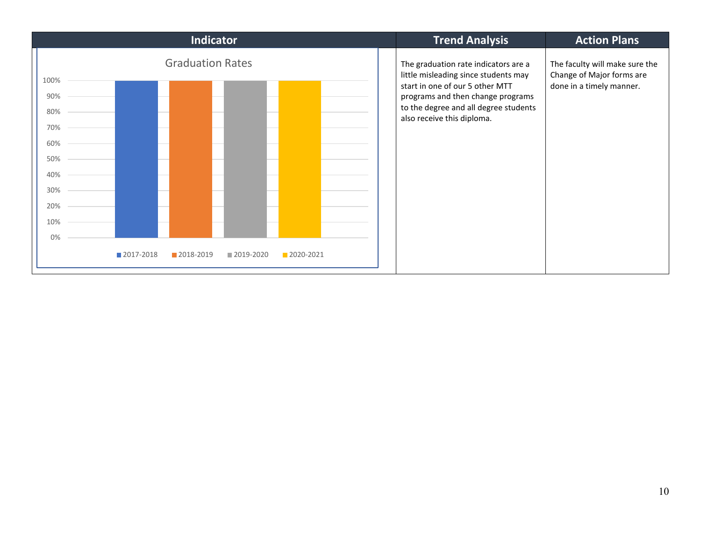